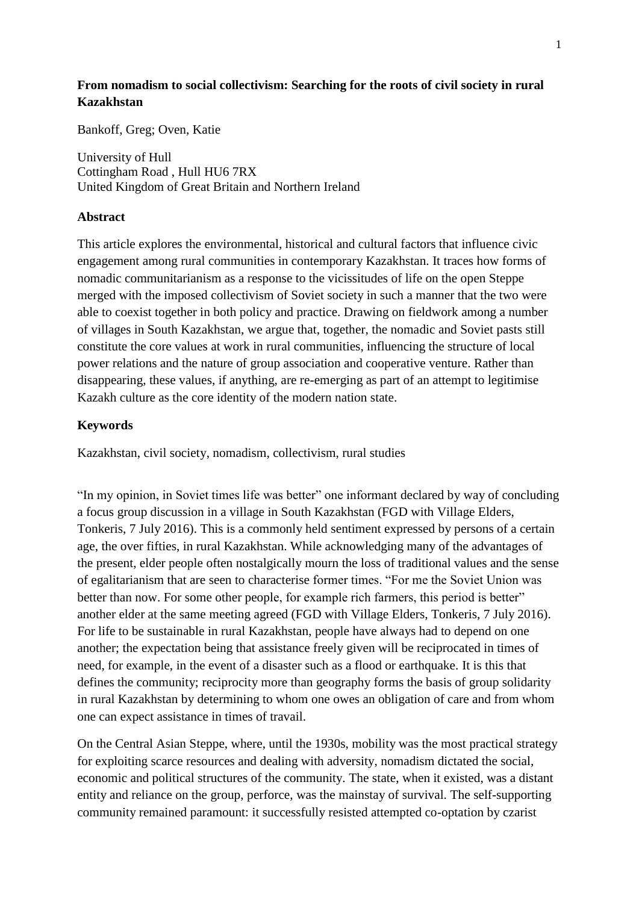# **From nomadism to social collectivism: Searching for the roots of civil society in rural Kazakhstan**

Bankoff, Greg; Oven, Katie

University of Hull Cottingham Road , Hull HU6 7RX United Kingdom of Great Britain and Northern Ireland

# **Abstract**

This article explores the environmental, historical and cultural factors that influence civic engagement among rural communities in contemporary Kazakhstan. It traces how forms of nomadic communitarianism as a response to the vicissitudes of life on the open Steppe merged with the imposed collectivism of Soviet society in such a manner that the two were able to coexist together in both policy and practice. Drawing on fieldwork among a number of villages in South Kazakhstan, we argue that, together, the nomadic and Soviet pasts still constitute the core values at work in rural communities, influencing the structure of local power relations and the nature of group association and cooperative venture. Rather than disappearing, these values, if anything, are re-emerging as part of an attempt to legitimise Kazakh culture as the core identity of the modern nation state.

# **Keywords**

Kazakhstan, civil society, nomadism, collectivism, rural studies

"In my opinion, in Soviet times life was better" one informant declared by way of concluding a focus group discussion in a village in South Kazakhstan (FGD with Village Elders, Tonkeris, 7 July 2016). This is a commonly held sentiment expressed by persons of a certain age, the over fifties, in rural Kazakhstan. While acknowledging many of the advantages of the present, elder people often nostalgically mourn the loss of traditional values and the sense of egalitarianism that are seen to characterise former times. "For me the Soviet Union was better than now. For some other people, for example rich farmers, this period is better" another elder at the same meeting agreed (FGD with Village Elders, Tonkeris, 7 July 2016). For life to be sustainable in rural Kazakhstan, people have always had to depend on one another; the expectation being that assistance freely given will be reciprocated in times of need, for example, in the event of a disaster such as a flood or earthquake. It is this that defines the community; reciprocity more than geography forms the basis of group solidarity in rural Kazakhstan by determining to whom one owes an obligation of care and from whom one can expect assistance in times of travail.

On the Central Asian Steppe, where, until the 1930s, mobility was the most practical strategy for exploiting scarce resources and dealing with adversity, nomadism dictated the social, economic and political structures of the community. The state, when it existed, was a distant entity and reliance on the group, perforce, was the mainstay of survival. The self-supporting community remained paramount: it successfully resisted attempted co-optation by czarist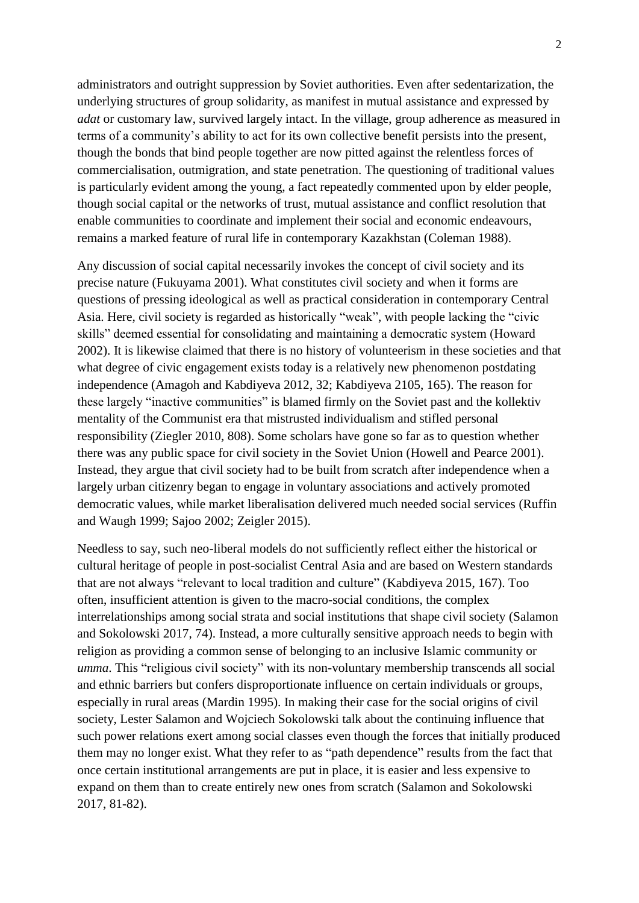administrators and outright suppression by Soviet authorities. Even after sedentarization, the underlying structures of group solidarity, as manifest in mutual assistance and expressed by *adat* or customary law, survived largely intact. In the village, group adherence as measured in terms of a community's ability to act for its own collective benefit persists into the present, though the bonds that bind people together are now pitted against the relentless forces of commercialisation, outmigration, and state penetration. The questioning of traditional values is particularly evident among the young, a fact repeatedly commented upon by elder people, though social capital or the networks of trust, mutual assistance and conflict resolution that enable communities to coordinate and implement their social and economic endeavours, remains a marked feature of rural life in contemporary Kazakhstan (Coleman 1988).

Any discussion of social capital necessarily invokes the concept of civil society and its precise nature (Fukuyama 2001). What constitutes civil society and when it forms are questions of pressing ideological as well as practical consideration in contemporary Central Asia. Here, civil society is regarded as historically "weak", with people lacking the "civic skills" deemed essential for consolidating and maintaining a democratic system (Howard 2002). It is likewise claimed that there is no history of volunteerism in these societies and that what degree of civic engagement exists today is a relatively new phenomenon postdating independence (Amagoh and Kabdiyeva 2012, 32; Kabdiyeva 2105, 165). The reason for these largely "inactive communities" is blamed firmly on the Soviet past and the kollektiv mentality of the Communist era that mistrusted individualism and stifled personal responsibility (Ziegler 2010, 808). Some scholars have gone so far as to question whether there was any public space for civil society in the Soviet Union (Howell and Pearce 2001). Instead, they argue that civil society had to be built from scratch after independence when a largely urban citizenry began to engage in voluntary associations and actively promoted democratic values, while market liberalisation delivered much needed social services (Ruffin and Waugh 1999; Sajoo 2002; Zeigler 2015).

Needless to say, such neo-liberal models do not sufficiently reflect either the historical or cultural heritage of people in post-socialist Central Asia and are based on Western standards that are not always "relevant to local tradition and culture" (Kabdiyeva 2015, 167). Too often, insufficient attention is given to the macro-social conditions, the complex interrelationships among social strata and social institutions that shape civil society (Salamon and Sokolowski 2017, 74). Instead, a more culturally sensitive approach needs to begin with religion as providing a common sense of belonging to an inclusive Islamic community or *umma*. This "religious civil society" with its non-voluntary membership transcends all social and ethnic barriers but confers disproportionate influence on certain individuals or groups, especially in rural areas (Mardin 1995). In making their case for the social origins of civil society, Lester Salamon and Wojciech Sokolowski talk about the continuing influence that such power relations exert among social classes even though the forces that initially produced them may no longer exist. What they refer to as "path dependence" results from the fact that once certain institutional arrangements are put in place, it is easier and less expensive to expand on them than to create entirely new ones from scratch (Salamon and Sokolowski 2017, 81-82).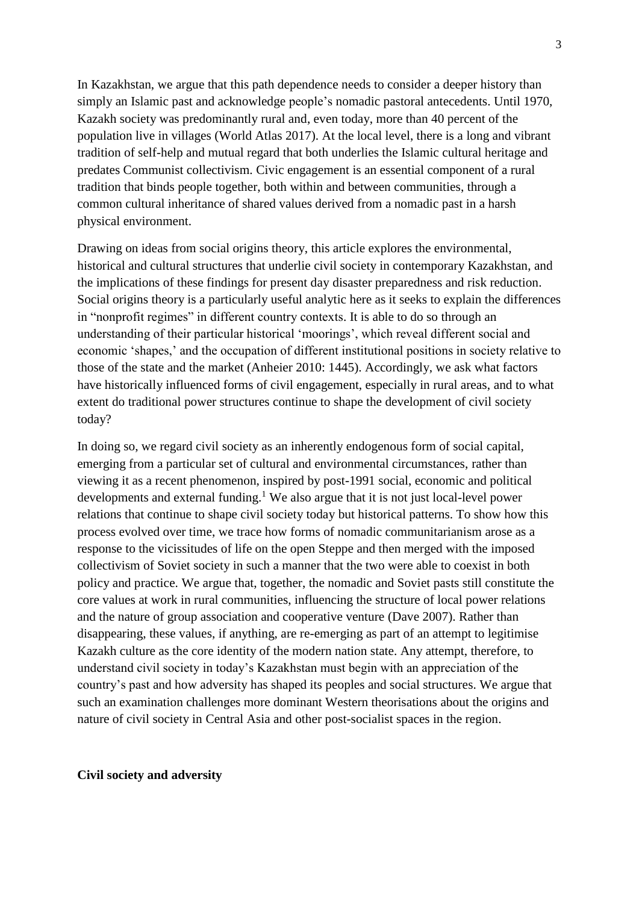In Kazakhstan, we argue that this path dependence needs to consider a deeper history than simply an Islamic past and acknowledge people's nomadic pastoral antecedents. Until 1970, Kazakh society was predominantly rural and, even today, more than 40 percent of the population live in villages (World Atlas 2017). At the local level, there is a long and vibrant tradition of self-help and mutual regard that both underlies the Islamic cultural heritage and predates Communist collectivism. Civic engagement is an essential component of a rural tradition that binds people together, both within and between communities, through a common cultural inheritance of shared values derived from a nomadic past in a harsh physical environment.

Drawing on ideas from social origins theory, this article explores the environmental, historical and cultural structures that underlie civil society in contemporary Kazakhstan, and the implications of these findings for present day disaster preparedness and risk reduction. Social origins theory is a particularly useful analytic here as it seeks to explain the differences in "nonprofit regimes" in different country contexts. It is able to do so through an understanding of their particular historical 'moorings', which reveal different social and economic 'shapes,' and the occupation of different institutional positions in society relative to those of the state and the market (Anheier 2010: 1445). Accordingly, we ask what factors have historically influenced forms of civil engagement, especially in rural areas, and to what extent do traditional power structures continue to shape the development of civil society today?

In doing so, we regard civil society as an inherently endogenous form of social capital, emerging from a particular set of cultural and environmental circumstances, rather than viewing it as a recent phenomenon, inspired by post-1991 social, economic and political developments and external funding. <sup>1</sup> We also argue that it is not just local-level power relations that continue to shape civil society today but historical patterns. To show how this process evolved over time, we trace how forms of nomadic communitarianism arose as a response to the vicissitudes of life on the open Steppe and then merged with the imposed collectivism of Soviet society in such a manner that the two were able to coexist in both policy and practice. We argue that, together, the nomadic and Soviet pasts still constitute the core values at work in rural communities, influencing the structure of local power relations and the nature of group association and cooperative venture (Dave 2007). Rather than disappearing, these values, if anything, are re-emerging as part of an attempt to legitimise Kazakh culture as the core identity of the modern nation state. Any attempt, therefore, to understand civil society in today's Kazakhstan must begin with an appreciation of the country's past and how adversity has shaped its peoples and social structures. We argue that such an examination challenges more dominant Western theorisations about the origins and nature of civil society in Central Asia and other post-socialist spaces in the region.

## **Civil society and adversity**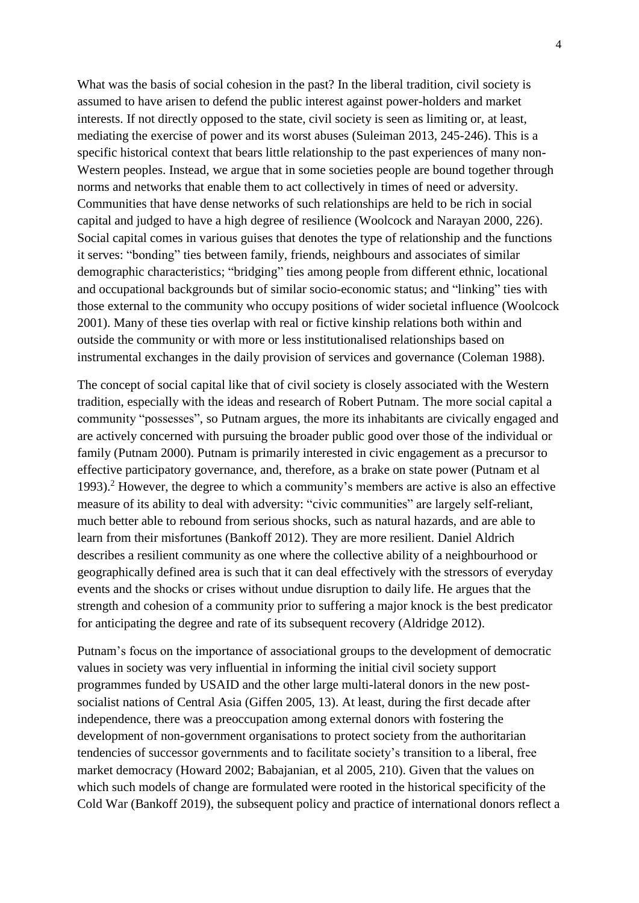What was the basis of social cohesion in the past? In the liberal tradition, civil society is assumed to have arisen to defend the public interest against power-holders and market interests. If not directly opposed to the state, civil society is seen as limiting or, at least, mediating the exercise of power and its worst abuses (Suleiman 2013, 245-246). This is a specific historical context that bears little relationship to the past experiences of many non-Western peoples. Instead, we argue that in some societies people are bound together through norms and networks that enable them to act collectively in times of need or adversity. Communities that have dense networks of such relationships are held to be rich in social capital and judged to have a high degree of resilience (Woolcock and Narayan 2000, 226). Social capital comes in various guises that denotes the type of relationship and the functions it serves: "bonding" ties between family, friends, neighbours and associates of similar demographic characteristics; "bridging" ties among people from different ethnic, locational and occupational backgrounds but of similar socio-economic status; and "linking" ties with those external to the community who occupy positions of wider societal influence (Woolcock 2001). Many of these ties overlap with real or fictive kinship relations both within and outside the community or with more or less institutionalised relationships based on instrumental exchanges in the daily provision of services and governance (Coleman 1988).

The concept of social capital like that of civil society is closely associated with the Western tradition, especially with the ideas and research of Robert Putnam. The more social capital a community "possesses", so Putnam argues, the more its inhabitants are civically engaged and are actively concerned with pursuing the broader public good over those of the individual or family (Putnam 2000). Putnam is primarily interested in civic engagement as a precursor to effective participatory governance, and, therefore, as a brake on state power (Putnam et al 1993). <sup>2</sup> However, the degree to which a community's members are active is also an effective measure of its ability to deal with adversity: "civic communities" are largely self-reliant, much better able to rebound from serious shocks, such as natural hazards, and are able to learn from their misfortunes (Bankoff 2012). They are more resilient. Daniel Aldrich describes a resilient community as one where the collective ability of a neighbourhood or geographically defined area is such that it can deal effectively with the stressors of everyday events and the shocks or crises without undue disruption to daily life. He argues that the strength and cohesion of a community prior to suffering a major knock is the best predicator for anticipating the degree and rate of its subsequent recovery (Aldridge 2012).

Putnam's focus on the importance of associational groups to the development of democratic values in society was very influential in informing the initial civil society support programmes funded by USAID and the other large multi-lateral donors in the new postsocialist nations of Central Asia (Giffen 2005, 13). At least, during the first decade after independence, there was a preoccupation among external donors with fostering the development of non-government organisations to protect society from the authoritarian tendencies of successor governments and to facilitate society's transition to a liberal, free market democracy (Howard 2002; Babajanian, et al 2005, 210). Given that the values on which such models of change are formulated were rooted in the historical specificity of the Cold War (Bankoff 2019), the subsequent policy and practice of international donors reflect a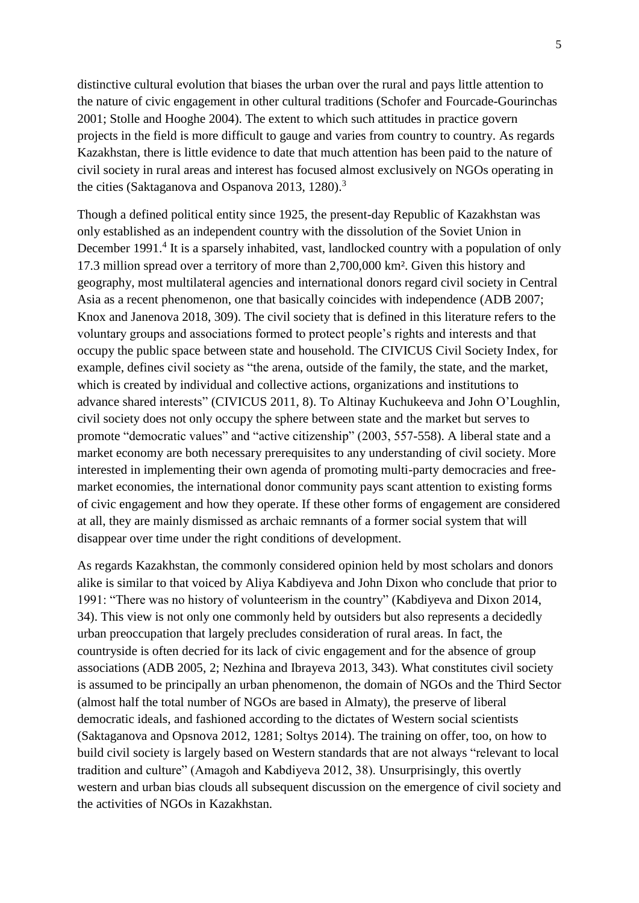distinctive cultural evolution that biases the urban over the rural and pays little attention to the nature of civic engagement in other cultural traditions (Schofer and Fourcade-Gourinchas 2001; Stolle and Hooghe 2004). The extent to which such attitudes in practice govern projects in the field is more difficult to gauge and varies from country to country. As regards Kazakhstan, there is little evidence to date that much attention has been paid to the nature of civil society in rural areas and interest has focused almost exclusively on NGOs operating in the cities (Saktaganova and Ospanova 2013, 1280).<sup>3</sup>

Though a defined political entity since 1925, the present-day Republic of Kazakhstan was only established as an independent country with the dissolution of the Soviet Union in December 1991.<sup>4</sup> It is a sparsely inhabited, vast, landlocked country with a population of only 17.3 million spread over a territory of more than 2,700,000 km². Given this history and geography, most multilateral agencies and international donors regard civil society in Central Asia as a recent phenomenon, one that basically coincides with independence (ADB 2007; Knox and Janenova 2018, 309). The civil society that is defined in this literature refers to the voluntary groups and associations formed to protect people's rights and interests and that occupy the public space between state and household. The CIVICUS Civil Society Index, for example, defines civil society as "the arena, outside of the family, the state, and the market, which is created by individual and collective actions, organizations and institutions to advance shared interests" (CIVICUS 2011, 8). To Altinay Kuchukeeva and John O'Loughlin, civil society does not only occupy the sphere between state and the market but serves to promote "democratic values" and "active citizenship" (2003, 557-558). A liberal state and a market economy are both necessary prerequisites to any understanding of civil society. More interested in implementing their own agenda of promoting multi-party democracies and freemarket economies, the international donor community pays scant attention to existing forms of civic engagement and how they operate. If these other forms of engagement are considered at all, they are mainly dismissed as archaic remnants of a former social system that will disappear over time under the right conditions of development.

As regards Kazakhstan, the commonly considered opinion held by most scholars and donors alike is similar to that voiced by Aliya Kabdiyeva and John Dixon who conclude that prior to 1991: "There was no history of volunteerism in the country" (Kabdiyeva and Dixon 2014, 34). This view is not only one commonly held by outsiders but also represents a decidedly urban preoccupation that largely precludes consideration of rural areas. In fact, the countryside is often decried for its lack of civic engagement and for the absence of group associations (ADB 2005, 2; Nezhina and Ibrayeva 2013, 343). What constitutes civil society is assumed to be principally an urban phenomenon, the domain of NGOs and the Third Sector (almost half the total number of NGOs are based in Almaty), the preserve of liberal democratic ideals, and fashioned according to the dictates of Western social scientists (Saktaganova and Opsnova 2012, 1281; Soltys 2014). The training on offer, too, on how to build civil society is largely based on Western standards that are not always "relevant to local tradition and culture" (Amagoh and Kabdiyeva 2012, 38). Unsurprisingly, this overtly western and urban bias clouds all subsequent discussion on the emergence of civil society and the activities of NGOs in Kazakhstan.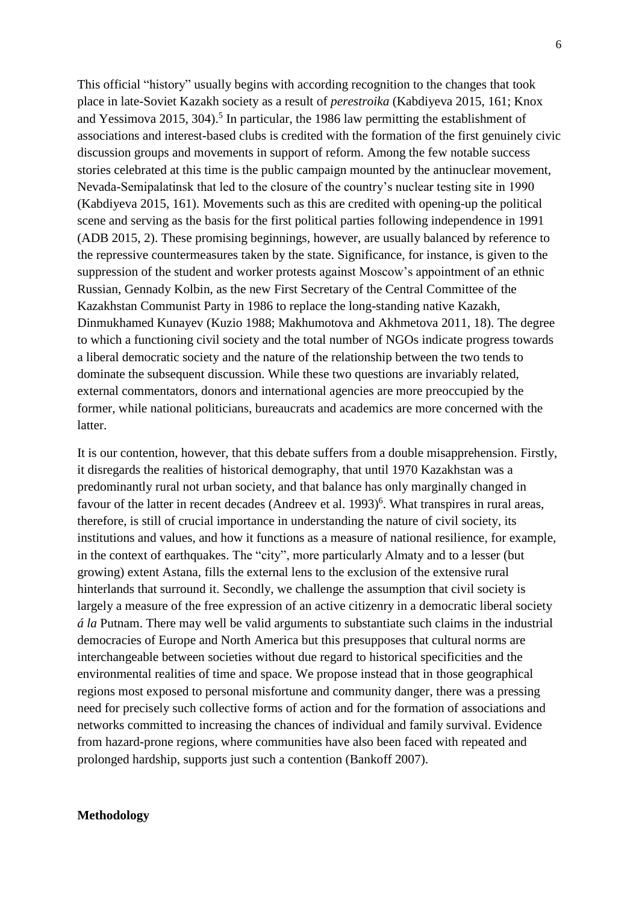This official "history" usually begins with according recognition to the changes that took place in late-Soviet Kazakh society as a result of *perestroika* (Kabdiyeva 2015, 161; Knox and Yessimova 2015, 304). 5 In particular, the 1986 law permitting the establishment of associations and interest-based clubs is credited with the formation of the first genuinely civic discussion groups and movements in support of reform. Among the few notable success stories celebrated at this time is the public campaign mounted by the antinuclear movement, Nevada-Semipalatinsk that led to the closure of the country's nuclear testing site in 1990 (Kabdiyeva 2015, 161). Movements such as this are credited with opening-up the political scene and serving as the basis for the first political parties following independence in 1991 (ADB 2015, 2). These promising beginnings, however, are usually balanced by reference to the repressive countermeasures taken by the state. Significance, for instance, is given to the suppression of the student and worker protests against Moscow's appointment of an ethnic Russian, Gennady Kolbin, as the new First Secretary of the Central Committee of the Kazakhstan Communist Party in 1986 to replace the long-standing native Kazakh, Dinmukhamed Kunayev (Kuzio 1988; Makhumotova and Akhmetova 2011, 18). The degree to which a functioning civil society and the total number of NGOs indicate progress towards a liberal democratic society and the nature of the relationship between the two tends to dominate the subsequent discussion. While these two questions are invariably related, external commentators, donors and international agencies are more preoccupied by the former, while national politicians, bureaucrats and academics are more concerned with the latter.

It is our contention, however, that this debate suffers from a double misapprehension. Firstly, it disregards the realities of historical demography, that until 1970 Kazakhstan was a predominantly rural not urban society, and that balance has only marginally changed in favour of the latter in recent decades (Andreev et al.  $1993)$ <sup>6</sup>. What transpires in rural areas, therefore, is still of crucial importance in understanding the nature of civil society, its institutions and values, and how it functions as a measure of national resilience, for example, in the context of earthquakes. The "city", more particularly Almaty and to a lesser (but growing) extent Astana, fills the external lens to the exclusion of the extensive rural hinterlands that surround it. Secondly, we challenge the assumption that civil society is largely a measure of the free expression of an active citizenry in a democratic liberal society *á la* Putnam. There may well be valid arguments to substantiate such claims in the industrial democracies of Europe and North America but this presupposes that cultural norms are interchangeable between societies without due regard to historical specificities and the environmental realities of time and space. We propose instead that in those geographical regions most exposed to personal misfortune and community danger, there was a pressing need for precisely such collective forms of action and for the formation of associations and networks committed to increasing the chances of individual and family survival. Evidence from hazard-prone regions, where communities have also been faced with repeated and prolonged hardship, supports just such a contention (Bankoff 2007).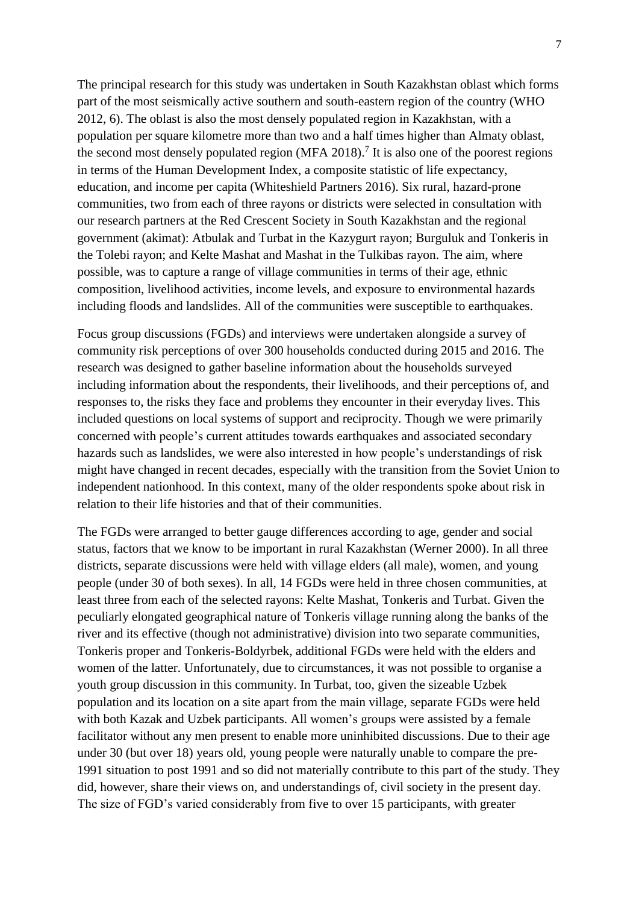The principal research for this study was undertaken in South Kazakhstan oblast which forms part of the most seismically active southern and south-eastern region of the country (WHO 2012, 6). The oblast is also the most densely populated region in Kazakhstan, with a population per square kilometre more than two and a half times higher than Almaty oblast, the second most densely populated region (MFA 2018).<sup>7</sup> It is also one of the poorest regions in terms of the Human Development Index, a composite statistic of life expectancy, education, and income per capita (Whiteshield Partners 2016). Six rural, hazard-prone communities, two from each of three rayons or districts were selected in consultation with our research partners at the Red Crescent Society in South Kazakhstan and the regional government (akimat): Atbulak and Turbat in the Kazygurt rayon; Burguluk and Tonkeris in the Tolebi rayon; and Kelte Mashat and Mashat in the Tulkibas rayon. The aim, where possible, was to capture a range of village communities in terms of their age, ethnic composition, livelihood activities, income levels, and exposure to environmental hazards including floods and landslides. All of the communities were susceptible to earthquakes.

Focus group discussions (FGDs) and interviews were undertaken alongside a survey of community risk perceptions of over 300 households conducted during 2015 and 2016. The research was designed to gather baseline information about the households surveyed including information about the respondents, their livelihoods, and their perceptions of, and responses to, the risks they face and problems they encounter in their everyday lives. This included questions on local systems of support and reciprocity. Though we were primarily concerned with people's current attitudes towards earthquakes and associated secondary hazards such as landslides, we were also interested in how people's understandings of risk might have changed in recent decades, especially with the transition from the Soviet Union to independent nationhood. In this context, many of the older respondents spoke about risk in relation to their life histories and that of their communities.

The FGDs were arranged to better gauge differences according to age, gender and social status, factors that we know to be important in rural Kazakhstan (Werner 2000). In all three districts, separate discussions were held with village elders (all male), women, and young people (under 30 of both sexes). In all, 14 FGDs were held in three chosen communities, at least three from each of the selected rayons: Kelte Mashat, Tonkeris and Turbat. Given the peculiarly elongated geographical nature of Tonkeris village running along the banks of the river and its effective (though not administrative) division into two separate communities, Tonkeris proper and Tonkeris-Boldyrbek, additional FGDs were held with the elders and women of the latter. Unfortunately, due to circumstances, it was not possible to organise a youth group discussion in this community. In Turbat, too, given the sizeable Uzbek population and its location on a site apart from the main village, separate FGDs were held with both Kazak and Uzbek participants. All women's groups were assisted by a female facilitator without any men present to enable more uninhibited discussions. Due to their age under 30 (but over 18) years old, young people were naturally unable to compare the pre-1991 situation to post 1991 and so did not materially contribute to this part of the study. They did, however, share their views on, and understandings of, civil society in the present day. The size of FGD's varied considerably from five to over 15 participants, with greater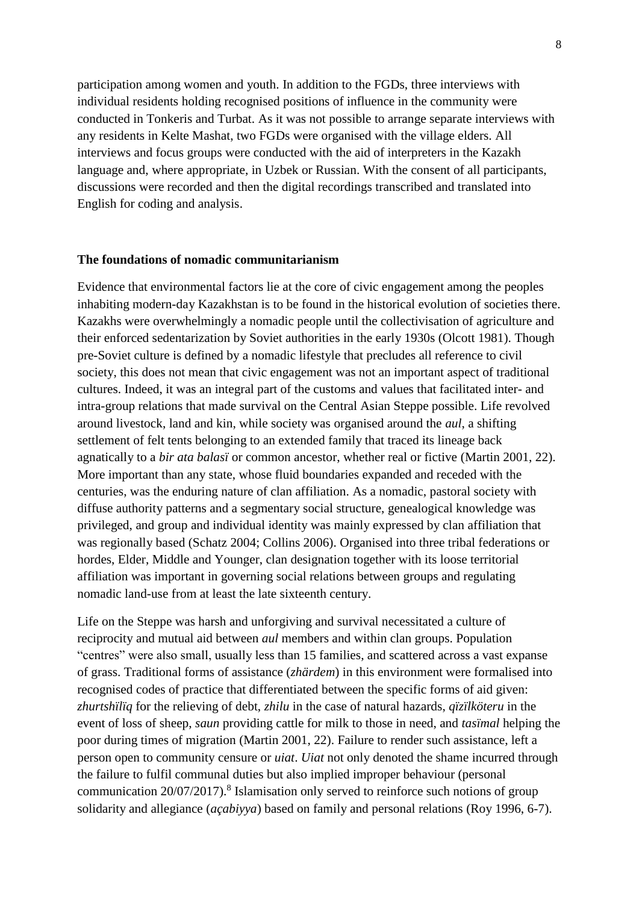participation among women and youth. In addition to the FGDs, three interviews with individual residents holding recognised positions of influence in the community were conducted in Tonkeris and Turbat. As it was not possible to arrange separate interviews with any residents in Kelte Mashat, two FGDs were organised with the village elders. All interviews and focus groups were conducted with the aid of interpreters in the Kazakh language and, where appropriate, in Uzbek or Russian. With the consent of all participants, discussions were recorded and then the digital recordings transcribed and translated into English for coding and analysis.

#### **The foundations of nomadic communitarianism**

Evidence that environmental factors lie at the core of civic engagement among the peoples inhabiting modern-day Kazakhstan is to be found in the historical evolution of societies there. Kazakhs were overwhelmingly a nomadic people until the collectivisation of agriculture and their enforced sedentarization by Soviet authorities in the early 1930s (Olcott 1981). Though pre-Soviet culture is defined by a nomadic lifestyle that precludes all reference to civil society, this does not mean that civic engagement was not an important aspect of traditional cultures. Indeed, it was an integral part of the customs and values that facilitated inter- and intra-group relations that made survival on the Central Asian Steppe possible. Life revolved around livestock, land and kin, while society was organised around the *aul*, a shifting settlement of felt tents belonging to an extended family that traced its lineage back agnatically to a *bir ata balasï* or common ancestor, whether real or fictive (Martin 2001, 22). More important than any state, whose fluid boundaries expanded and receded with the centuries, was the enduring nature of clan affiliation. As a nomadic, pastoral society with diffuse authority patterns and a segmentary social structure, genealogical knowledge was privileged, and group and individual identity was mainly expressed by clan affiliation that was regionally based (Schatz 2004; Collins 2006). Organised into three tribal federations or hordes, Elder, Middle and Younger, clan designation together with its loose territorial affiliation was important in governing social relations between groups and regulating nomadic land-use from at least the late sixteenth century.

Life on the Steppe was harsh and unforgiving and survival necessitated a culture of reciprocity and mutual aid between *aul* members and within clan groups. Population "centres" were also small, usually less than 15 families, and scattered across a vast expanse of grass. Traditional forms of assistance (*zhärdem*) in this environment were formalised into recognised codes of practice that differentiated between the specific forms of aid given: *zhurtshïlïq* for the relieving of debt, *zhilu* in the case of natural hazards, *qïzïlköteru* in the event of loss of sheep, *saun* providing cattle for milk to those in need, and *tasïmal* helping the poor during times of migration (Martin 2001, 22). Failure to render such assistance, left a person open to community censure or *uiat*. *Uiat* not only denoted the shame incurred through the failure to fulfil communal duties but also implied improper behaviour (personal communication 20/07/2017).<sup>8</sup> Islamisation only served to reinforce such notions of group solidarity and allegiance (*açabiyya*) based on family and personal relations (Roy 1996, 6-7).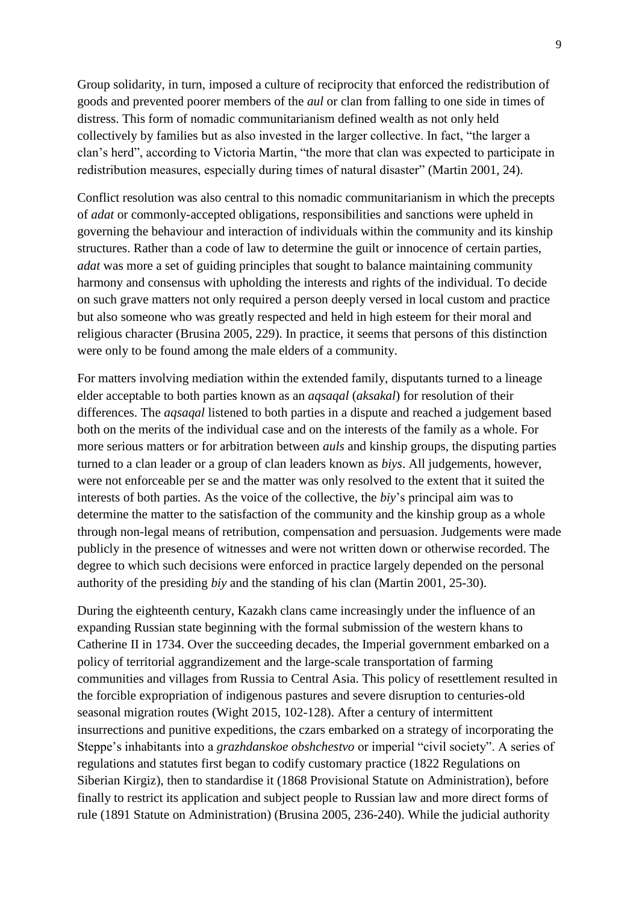Group solidarity, in turn, imposed a culture of reciprocity that enforced the redistribution of goods and prevented poorer members of the *aul* or clan from falling to one side in times of distress. This form of nomadic communitarianism defined wealth as not only held collectively by families but as also invested in the larger collective. In fact, "the larger a clan's herd", according to Victoria Martin, "the more that clan was expected to participate in redistribution measures, especially during times of natural disaster" (Martin 2001, 24).

Conflict resolution was also central to this nomadic communitarianism in which the precepts of *adat* or commonly-accepted obligations, responsibilities and sanctions were upheld in governing the behaviour and interaction of individuals within the community and its kinship structures. Rather than a code of law to determine the guilt or innocence of certain parties, *adat* was more a set of guiding principles that sought to balance maintaining community harmony and consensus with upholding the interests and rights of the individual. To decide on such grave matters not only required a person deeply versed in local custom and practice but also someone who was greatly respected and held in high esteem for their moral and religious character (Brusina 2005, 229). In practice, it seems that persons of this distinction were only to be found among the male elders of a community.

For matters involving mediation within the extended family, disputants turned to a lineage elder acceptable to both parties known as an *aqsaqal* (*aksakal*) for resolution of their differences. The *aqsaqal* listened to both parties in a dispute and reached a judgement based both on the merits of the individual case and on the interests of the family as a whole. For more serious matters or for arbitration between *auls* and kinship groups, the disputing parties turned to a clan leader or a group of clan leaders known as *biys*. All judgements, however, were not enforceable per se and the matter was only resolved to the extent that it suited the interests of both parties. As the voice of the collective, the *biy*'s principal aim was to determine the matter to the satisfaction of the community and the kinship group as a whole through non-legal means of retribution, compensation and persuasion. Judgements were made publicly in the presence of witnesses and were not written down or otherwise recorded. The degree to which such decisions were enforced in practice largely depended on the personal authority of the presiding *biy* and the standing of his clan (Martin 2001, 25-30).

During the eighteenth century, Kazakh clans came increasingly under the influence of an expanding Russian state beginning with the formal submission of the western khans to Catherine II in 1734. Over the succeeding decades, the Imperial government embarked on a policy of territorial aggrandizement and the large-scale transportation of farming communities and villages from Russia to Central Asia. This policy of resettlement resulted in the forcible expropriation of indigenous pastures and severe disruption to centuries-old seasonal migration routes (Wight 2015, 102-128). After a century of intermittent insurrections and punitive expeditions, the czars embarked on a strategy of incorporating the Steppe's inhabitants into a *grazhdanskoe obshchestvo* or imperial "civil society". A series of regulations and statutes first began to codify customary practice (1822 Regulations on Siberian Kirgiz), then to standardise it (1868 Provisional Statute on Administration), before finally to restrict its application and subject people to Russian law and more direct forms of rule (1891 Statute on Administration) (Brusina 2005, 236-240). While the judicial authority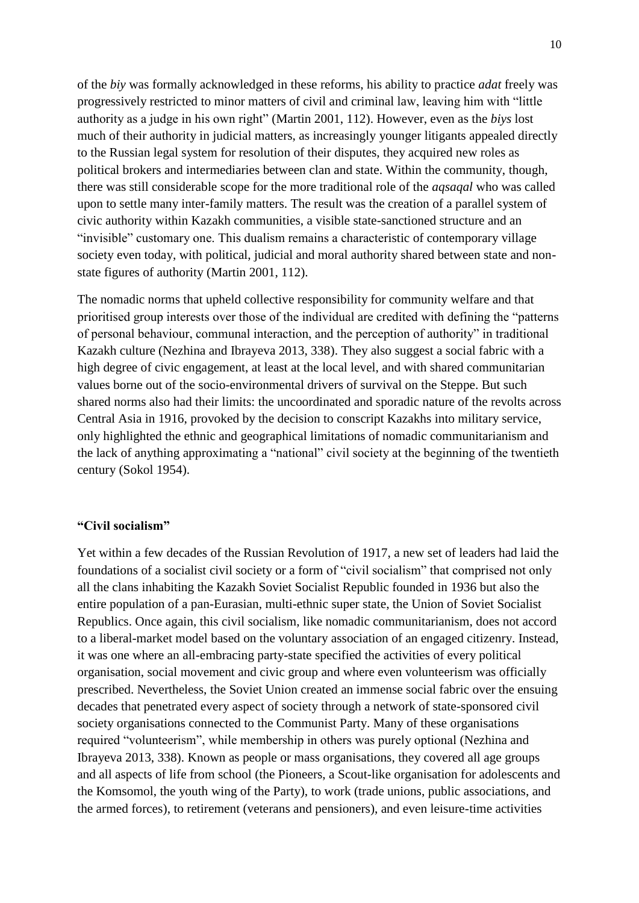of the *biy* was formally acknowledged in these reforms, his ability to practice *adat* freely was progressively restricted to minor matters of civil and criminal law, leaving him with "little authority as a judge in his own right" (Martin 2001, 112). However, even as the *biys* lost much of their authority in judicial matters, as increasingly younger litigants appealed directly to the Russian legal system for resolution of their disputes, they acquired new roles as political brokers and intermediaries between clan and state. Within the community, though, there was still considerable scope for the more traditional role of the *aqsaqal* who was called upon to settle many inter-family matters. The result was the creation of a parallel system of civic authority within Kazakh communities, a visible state-sanctioned structure and an "invisible" customary one. This dualism remains a characteristic of contemporary village society even today, with political, judicial and moral authority shared between state and nonstate figures of authority (Martin 2001, 112).

The nomadic norms that upheld collective responsibility for community welfare and that prioritised group interests over those of the individual are credited with defining the "patterns of personal behaviour, communal interaction, and the perception of authority" in traditional Kazakh culture (Nezhina and Ibrayeva 2013, 338). They also suggest a social fabric with a high degree of civic engagement, at least at the local level, and with shared communitarian values borne out of the socio-environmental drivers of survival on the Steppe. But such shared norms also had their limits: the uncoordinated and sporadic nature of the revolts across Central Asia in 1916, provoked by the decision to conscript Kazakhs into military service, only highlighted the ethnic and geographical limitations of nomadic communitarianism and the lack of anything approximating a "national" civil society at the beginning of the twentieth century (Sokol 1954).

### **"Civil socialism"**

Yet within a few decades of the Russian Revolution of 1917, a new set of leaders had laid the foundations of a socialist civil society or a form of "civil socialism" that comprised not only all the clans inhabiting the Kazakh Soviet Socialist Republic founded in 1936 but also the entire population of a pan-Eurasian, multi-ethnic super state, the Union of Soviet Socialist Republics. Once again, this civil socialism, like nomadic communitarianism, does not accord to a liberal-market model based on the voluntary association of an engaged citizenry. Instead, it was one where an all-embracing party-state specified the activities of every political organisation, social movement and civic group and where even volunteerism was officially prescribed. Nevertheless, the Soviet Union created an immense social fabric over the ensuing decades that penetrated every aspect of society through a network of state-sponsored civil society organisations connected to the Communist Party. Many of these organisations required "volunteerism", while membership in others was purely optional (Nezhina and Ibrayeva 2013, 338). Known as people or mass organisations, they covered all age groups and all aspects of life from school (the Pioneers, a Scout-like organisation for adolescents and the Komsomol, the youth wing of the Party), to work (trade unions, public associations, and the armed forces), to retirement (veterans and pensioners), and even leisure-time activities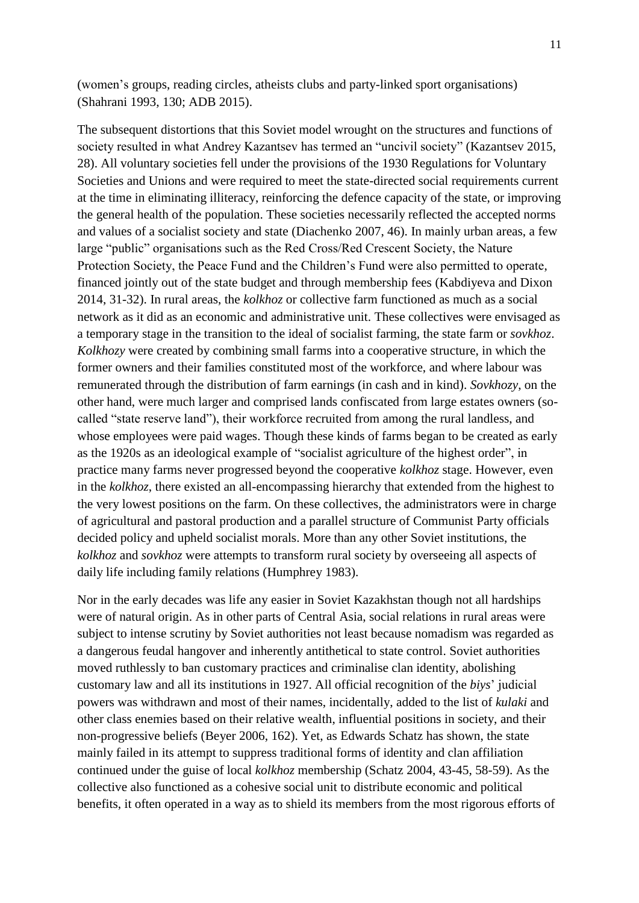(women's groups, reading circles, atheists clubs and party-linked sport organisations) (Shahrani 1993, 130; ADB 2015).

The subsequent distortions that this Soviet model wrought on the structures and functions of society resulted in what Andrey Kazantsev has termed an "uncivil society" (Kazantsev 2015, 28). All voluntary societies fell under the provisions of the 1930 Regulations for Voluntary Societies and Unions and were required to meet the state-directed social requirements current at the time in eliminating illiteracy, reinforcing the defence capacity of the state, or improving the general health of the population. These societies necessarily reflected the accepted norms and values of a socialist society and state (Diachenko 2007, 46). In mainly urban areas, a few large "public" organisations such as the Red Cross/Red Crescent Society, the Nature Protection Society, the Peace Fund and the Children's Fund were also permitted to operate, financed jointly out of the state budget and through membership fees (Kabdiyeva and Dixon 2014, 31-32). In rural areas, the *kolkhoz* or collective farm functioned as much as a social network as it did as an economic and administrative unit. These collectives were envisaged as a temporary stage in the transition to the ideal of socialist farming, the state farm or *sovkhoz*. *Kolkhozy* were created by combining small farms into a cooperative structure, in which the former owners and their families constituted most of the workforce, and where labour was remunerated through the distribution of farm earnings (in cash and in kind). *Sovkhozy*, on the other hand, were much larger and comprised lands confiscated from large estates owners (socalled "state reserve land"), their workforce recruited from among the rural landless, and whose employees were paid wages. Though these kinds of farms began to be created as early as the 1920s as an ideological example of "socialist agriculture of the highest order", in practice many farms never progressed beyond the cooperative *kolkhoz* stage. However, even in the *kolkhoz*, there existed an all-encompassing hierarchy that extended from the highest to the very lowest positions on the farm. On these collectives, the administrators were in charge of agricultural and pastoral production and a parallel structure of Communist Party officials decided policy and upheld socialist morals. More than any other Soviet institutions, the *kolkhoz* and *sovkhoz* were attempts to transform rural society by overseeing all aspects of daily life including family relations (Humphrey 1983).

Nor in the early decades was life any easier in Soviet Kazakhstan though not all hardships were of natural origin. As in other parts of Central Asia, social relations in rural areas were subject to intense scrutiny by Soviet authorities not least because nomadism was regarded as a dangerous feudal hangover and inherently antithetical to state control. Soviet authorities moved ruthlessly to ban customary practices and criminalise clan identity, abolishing customary law and all its institutions in 1927. All official recognition of the *biys*' judicial powers was withdrawn and most of their names, incidentally, added to the list of *kulaki* and other class enemies based on their relative wealth, influential positions in society, and their non-progressive beliefs (Beyer 2006, 162). Yet, as Edwards Schatz has shown, the state mainly failed in its attempt to suppress traditional forms of identity and clan affiliation continued under the guise of local *kolkhoz* membership (Schatz 2004, 43-45, 58-59). As the collective also functioned as a cohesive social unit to distribute economic and political benefits, it often operated in a way as to shield its members from the most rigorous efforts of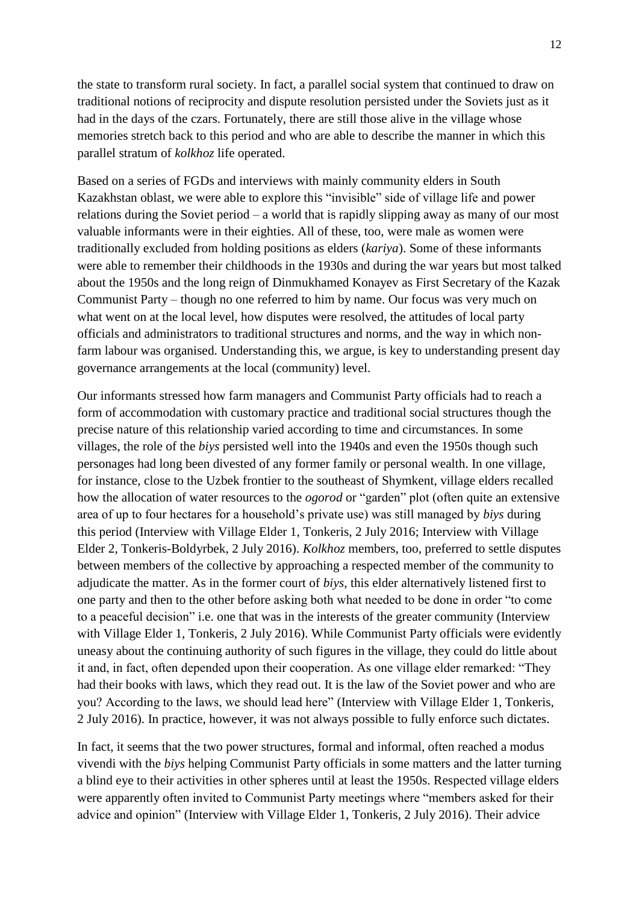the state to transform rural society. In fact, a parallel social system that continued to draw on traditional notions of reciprocity and dispute resolution persisted under the Soviets just as it had in the days of the czars. Fortunately, there are still those alive in the village whose memories stretch back to this period and who are able to describe the manner in which this parallel stratum of *kolkhoz* life operated.

Based on a series of FGDs and interviews with mainly community elders in South Kazakhstan oblast, we were able to explore this "invisible" side of village life and power relations during the Soviet period – a world that is rapidly slipping away as many of our most valuable informants were in their eighties. All of these, too, were male as women were traditionally excluded from holding positions as elders (*kariya*). Some of these informants were able to remember their childhoods in the 1930s and during the war years but most talked about the 1950s and the long reign of Dinmukhamed Konayev as First Secretary of the Kazak Communist Party – though no one referred to him by name. Our focus was very much on what went on at the local level, how disputes were resolved, the attitudes of local party officials and administrators to traditional structures and norms, and the way in which nonfarm labour was organised. Understanding this, we argue, is key to understanding present day governance arrangements at the local (community) level.

Our informants stressed how farm managers and Communist Party officials had to reach a form of accommodation with customary practice and traditional social structures though the precise nature of this relationship varied according to time and circumstances. In some villages, the role of the *biys* persisted well into the 1940s and even the 1950s though such personages had long been divested of any former family or personal wealth. In one village, for instance, close to the Uzbek frontier to the southeast of Shymkent, village elders recalled how the allocation of water resources to the *ogorod* or "garden" plot (often quite an extensive area of up to four hectares for a household's private use) was still managed by *biys* during this period (Interview with Village Elder 1, Tonkeris, 2 July 2016; Interview with Village Elder 2, Tonkeris-Boldyrbek, 2 July 2016). *Kolkhoz* members, too, preferred to settle disputes between members of the collective by approaching a respected member of the community to adjudicate the matter. As in the former court of *biys*, this elder alternatively listened first to one party and then to the other before asking both what needed to be done in order "to come to a peaceful decision" i.e. one that was in the interests of the greater community (Interview with Village Elder 1, Tonkeris, 2 July 2016). While Communist Party officials were evidently uneasy about the continuing authority of such figures in the village, they could do little about it and, in fact, often depended upon their cooperation. As one village elder remarked: "They had their books with laws, which they read out. It is the law of the Soviet power and who are you? According to the laws, we should lead here" (Interview with Village Elder 1, Tonkeris, 2 July 2016). In practice, however, it was not always possible to fully enforce such dictates.

In fact, it seems that the two power structures, formal and informal, often reached a modus vivendi with the *biys* helping Communist Party officials in some matters and the latter turning a blind eye to their activities in other spheres until at least the 1950s. Respected village elders were apparently often invited to Communist Party meetings where "members asked for their advice and opinion" (Interview with Village Elder 1, Tonkeris, 2 July 2016). Their advice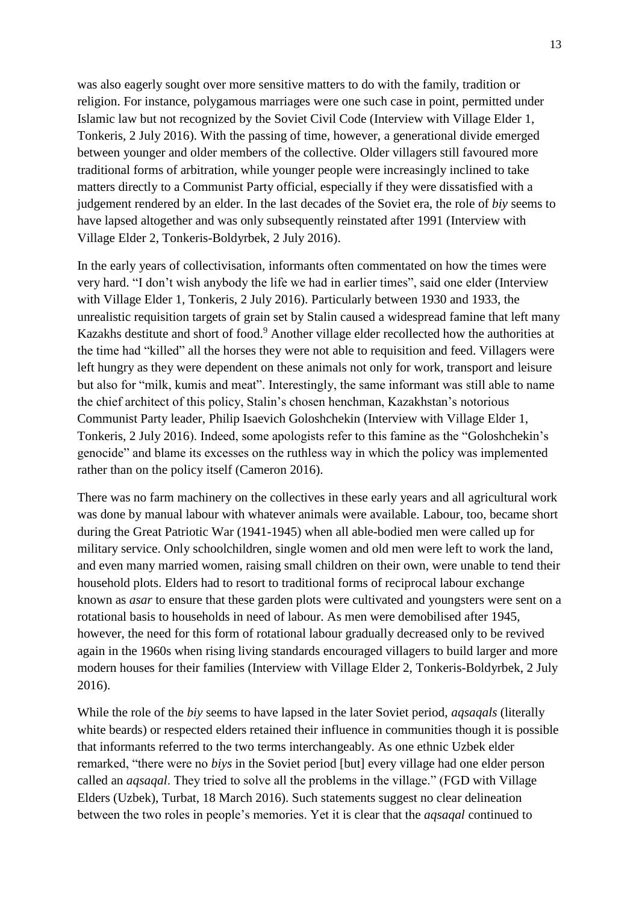was also eagerly sought over more sensitive matters to do with the family, tradition or religion. For instance, polygamous marriages were one such case in point, permitted under Islamic law but not recognized by the Soviet Civil Code (Interview with Village Elder 1, Tonkeris, 2 July 2016). With the passing of time, however, a generational divide emerged between younger and older members of the collective. Older villagers still favoured more traditional forms of arbitration, while younger people were increasingly inclined to take matters directly to a Communist Party official, especially if they were dissatisfied with a judgement rendered by an elder. In the last decades of the Soviet era, the role of *biy* seems to have lapsed altogether and was only subsequently reinstated after 1991 (Interview with Village Elder 2, Tonkeris-Boldyrbek, 2 July 2016).

In the early years of collectivisation, informants often commentated on how the times were very hard. "I don't wish anybody the life we had in earlier times", said one elder (Interview with Village Elder 1, Tonkeris, 2 July 2016). Particularly between 1930 and 1933, the unrealistic requisition targets of grain set by Stalin caused a widespread famine that left many Kazakhs destitute and short of food. <sup>9</sup> Another village elder recollected how the authorities at the time had "killed" all the horses they were not able to requisition and feed. Villagers were left hungry as they were dependent on these animals not only for work, transport and leisure but also for "milk, kumis and meat". Interestingly, the same informant was still able to name the chief architect of this policy, Stalin's chosen henchman, Kazakhstan's notorious Communist Party leader, Philip Isaevich Goloshchekin (Interview with Village Elder 1, Tonkeris, 2 July 2016). Indeed, some apologists refer to this famine as the "Goloshchekin's genocide" and blame its excesses on the ruthless way in which the policy was implemented rather than on the policy itself (Cameron 2016).

There was no farm machinery on the collectives in these early years and all agricultural work was done by manual labour with whatever animals were available. Labour, too, became short during the Great Patriotic War (1941-1945) when all able-bodied men were called up for military service. Only schoolchildren, single women and old men were left to work the land, and even many married women, raising small children on their own, were unable to tend their household plots. Elders had to resort to traditional forms of reciprocal labour exchange known as *asar* to ensure that these garden plots were cultivated and youngsters were sent on a rotational basis to households in need of labour. As men were demobilised after 1945, however, the need for this form of rotational labour gradually decreased only to be revived again in the 1960s when rising living standards encouraged villagers to build larger and more modern houses for their families (Interview with Village Elder 2, Tonkeris-Boldyrbek, 2 July 2016).

While the role of the *biy* seems to have lapsed in the later Soviet period, *aqsaqals* (literally white beards) or respected elders retained their influence in communities though it is possible that informants referred to the two terms interchangeably. As one ethnic Uzbek elder remarked, "there were no *biys* in the Soviet period [but] every village had one elder person called an *aqsaqal*. They tried to solve all the problems in the village." (FGD with Village Elders (Uzbek), Turbat, 18 March 2016). Such statements suggest no clear delineation between the two roles in people's memories. Yet it is clear that the *aqsaqal* continued to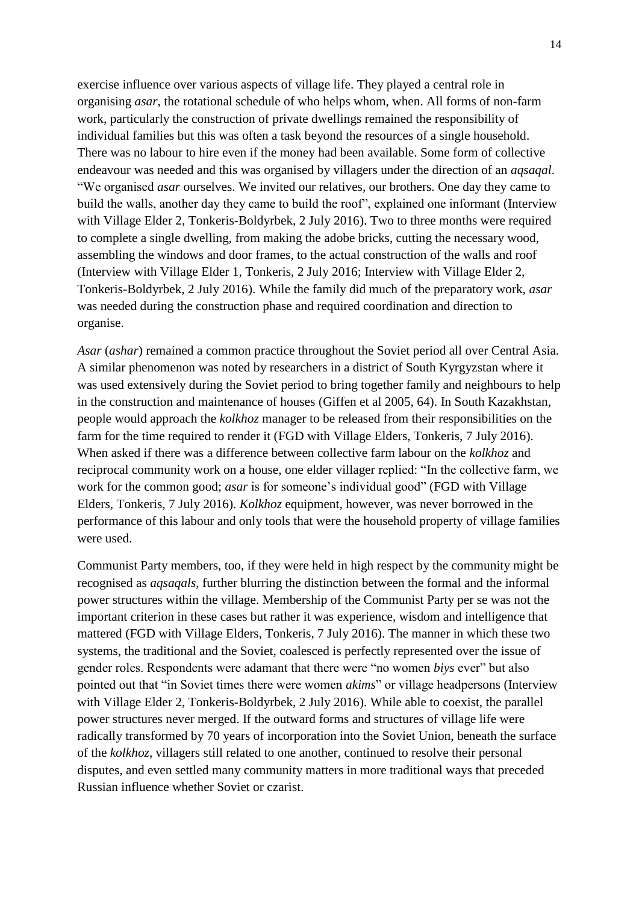exercise influence over various aspects of village life. They played a central role in organising *asar*, the rotational schedule of who helps whom, when. All forms of non-farm work, particularly the construction of private dwellings remained the responsibility of individual families but this was often a task beyond the resources of a single household. There was no labour to hire even if the money had been available. Some form of collective endeavour was needed and this was organised by villagers under the direction of an *aqsaqal*. "We organised *asar* ourselves. We invited our relatives, our brothers. One day they came to build the walls, another day they came to build the roof", explained one informant (Interview with Village Elder 2, Tonkeris-Boldyrbek, 2 July 2016). Two to three months were required to complete a single dwelling, from making the adobe bricks, cutting the necessary wood, assembling the windows and door frames, to the actual construction of the walls and roof (Interview with Village Elder 1, Tonkeris, 2 July 2016; Interview with Village Elder 2, Tonkeris-Boldyrbek, 2 July 2016). While the family did much of the preparatory work, *asar* was needed during the construction phase and required coordination and direction to organise.

*Asar* (*ashar*) remained a common practice throughout the Soviet period all over Central Asia. A similar phenomenon was noted by researchers in a district of South Kyrgyzstan where it was used extensively during the Soviet period to bring together family and neighbours to help in the construction and maintenance of houses (Giffen et al 2005, 64). In South Kazakhstan, people would approach the *kolkhoz* manager to be released from their responsibilities on the farm for the time required to render it (FGD with Village Elders, Tonkeris, 7 July 2016). When asked if there was a difference between collective farm labour on the *kolkhoz* and reciprocal community work on a house, one elder villager replied: "In the collective farm, we work for the common good; *asar* is for someone's individual good" (FGD with Village Elders, Tonkeris, 7 July 2016). *Kolkhoz* equipment, however, was never borrowed in the performance of this labour and only tools that were the household property of village families were used.

Communist Party members, too, if they were held in high respect by the community might be recognised as *aqsaqals*, further blurring the distinction between the formal and the informal power structures within the village. Membership of the Communist Party per se was not the important criterion in these cases but rather it was experience, wisdom and intelligence that mattered (FGD with Village Elders, Tonkeris, 7 July 2016). The manner in which these two systems, the traditional and the Soviet, coalesced is perfectly represented over the issue of gender roles. Respondents were adamant that there were "no women *biys* ever" but also pointed out that "in Soviet times there were women *akims*" or village headpersons (Interview with Village Elder 2, Tonkeris-Boldyrbek, 2 July 2016). While able to coexist, the parallel power structures never merged. If the outward forms and structures of village life were radically transformed by 70 years of incorporation into the Soviet Union, beneath the surface of the *kolkhoz*, villagers still related to one another, continued to resolve their personal disputes, and even settled many community matters in more traditional ways that preceded Russian influence whether Soviet or czarist.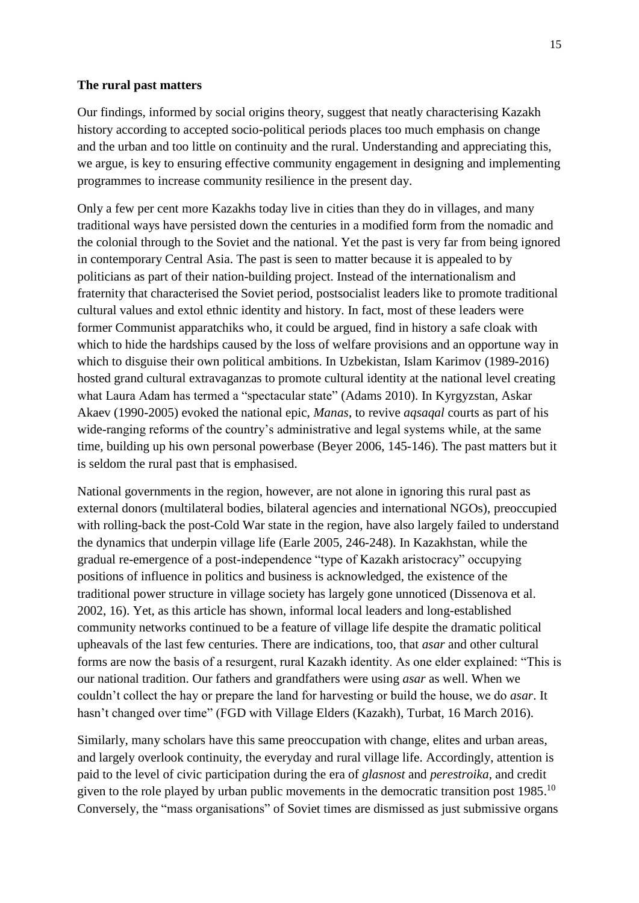## **The rural past matters**

Our findings, informed by social origins theory, suggest that neatly characterising Kazakh history according to accepted socio-political periods places too much emphasis on change and the urban and too little on continuity and the rural. Understanding and appreciating this, we argue, is key to ensuring effective community engagement in designing and implementing programmes to increase community resilience in the present day.

Only a few per cent more Kazakhs today live in cities than they do in villages, and many traditional ways have persisted down the centuries in a modified form from the nomadic and the colonial through to the Soviet and the national. Yet the past is very far from being ignored in contemporary Central Asia. The past is seen to matter because it is appealed to by politicians as part of their nation-building project. Instead of the internationalism and fraternity that characterised the Soviet period, postsocialist leaders like to promote traditional cultural values and extol ethnic identity and history. In fact, most of these leaders were former Communist apparatchiks who, it could be argued, find in history a safe cloak with which to hide the hardships caused by the loss of welfare provisions and an opportune way in which to disguise their own political ambitions. In Uzbekistan, Islam Karimov (1989-2016) hosted grand cultural extravaganzas to promote cultural identity at the national level creating what Laura Adam has termed a "spectacular state" (Adams 2010). In Kyrgyzstan, Askar Akaev (1990-2005) evoked the national epic, *Manas*, to revive *aqsaqal* courts as part of his wide-ranging reforms of the country's administrative and legal systems while, at the same time, building up his own personal powerbase (Beyer 2006, 145-146). The past matters but it is seldom the rural past that is emphasised.

National governments in the region, however, are not alone in ignoring this rural past as external donors (multilateral bodies, bilateral agencies and international NGOs), preoccupied with rolling-back the post-Cold War state in the region, have also largely failed to understand the dynamics that underpin village life (Earle 2005, 246-248). In Kazakhstan, while the gradual re-emergence of a post-independence "type of Kazakh aristocracy" occupying positions of influence in politics and business is acknowledged, the existence of the traditional power structure in village society has largely gone unnoticed (Dissenova et al. 2002, 16). Yet, as this article has shown, informal local leaders and long-established community networks continued to be a feature of village life despite the dramatic political upheavals of the last few centuries. There are indications, too, that *asar* and other cultural forms are now the basis of a resurgent, rural Kazakh identity. As one elder explained: "This is our national tradition. Our fathers and grandfathers were using *asar* as well. When we couldn't collect the hay or prepare the land for harvesting or build the house, we do *asar*. It hasn't changed over time" (FGD with Village Elders (Kazakh), Turbat, 16 March 2016).

Similarly, many scholars have this same preoccupation with change, elites and urban areas, and largely overlook continuity, the everyday and rural village life. Accordingly, attention is paid to the level of civic participation during the era of *glasnost* and *perestroika*, and credit given to the role played by urban public movements in the democratic transition post  $1985$ .<sup>10</sup> Conversely, the "mass organisations" of Soviet times are dismissed as just submissive organs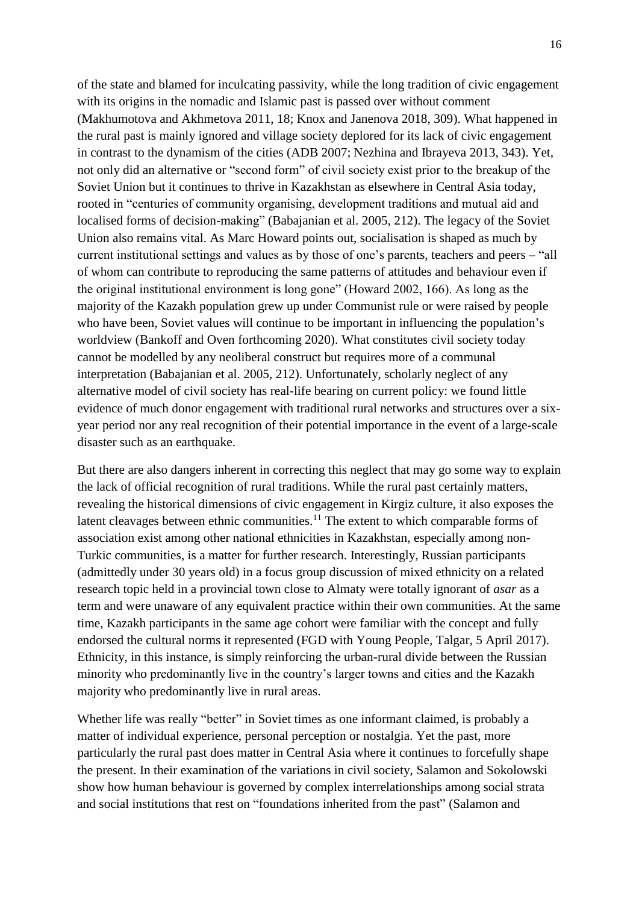of the state and blamed for inculcating passivity, while the long tradition of civic engagement with its origins in the nomadic and Islamic past is passed over without comment (Makhumotova and Akhmetova 2011, 18; Knox and Janenova 2018, 309). What happened in the rural past is mainly ignored and village society deplored for its lack of civic engagement in contrast to the dynamism of the cities (ADB 2007; Nezhina and Ibrayeva 2013, 343). Yet, not only did an alternative or "second form" of civil society exist prior to the breakup of the Soviet Union but it continues to thrive in Kazakhstan as elsewhere in Central Asia today, rooted in "centuries of community organising, development traditions and mutual aid and localised forms of decision-making" (Babajanian et al. 2005, 212). The legacy of the Soviet Union also remains vital. As Marc Howard points out, socialisation is shaped as much by current institutional settings and values as by those of one's parents, teachers and peers – "all of whom can contribute to reproducing the same patterns of attitudes and behaviour even if the original institutional environment is long gone" (Howard 2002, 166). As long as the majority of the Kazakh population grew up under Communist rule or were raised by people who have been, Soviet values will continue to be important in influencing the population's worldview (Bankoff and Oven forthcoming 2020). What constitutes civil society today cannot be modelled by any neoliberal construct but requires more of a communal interpretation (Babajanian et al. 2005, 212). Unfortunately, scholarly neglect of any alternative model of civil society has real-life bearing on current policy: we found little evidence of much donor engagement with traditional rural networks and structures over a sixyear period nor any real recognition of their potential importance in the event of a large-scale disaster such as an earthquake.

But there are also dangers inherent in correcting this neglect that may go some way to explain the lack of official recognition of rural traditions. While the rural past certainly matters, revealing the historical dimensions of civic engagement in Kirgiz culture, it also exposes the latent cleavages between ethnic communities.<sup>11</sup> The extent to which comparable forms of association exist among other national ethnicities in Kazakhstan, especially among non-Turkic communities, is a matter for further research. Interestingly, Russian participants (admittedly under 30 years old) in a focus group discussion of mixed ethnicity on a related research topic held in a provincial town close to Almaty were totally ignorant of *asar* as a term and were unaware of any equivalent practice within their own communities. At the same time, Kazakh participants in the same age cohort were familiar with the concept and fully endorsed the cultural norms it represented (FGD with Young People, Talgar, 5 April 2017). Ethnicity, in this instance, is simply reinforcing the urban-rural divide between the Russian minority who predominantly live in the country's larger towns and cities and the Kazakh majority who predominantly live in rural areas.

Whether life was really "better" in Soviet times as one informant claimed, is probably a matter of individual experience, personal perception or nostalgia. Yet the past, more particularly the rural past does matter in Central Asia where it continues to forcefully shape the present. In their examination of the variations in civil society, Salamon and Sokolowski show how human behaviour is governed by complex interrelationships among social strata and social institutions that rest on "foundations inherited from the past" (Salamon and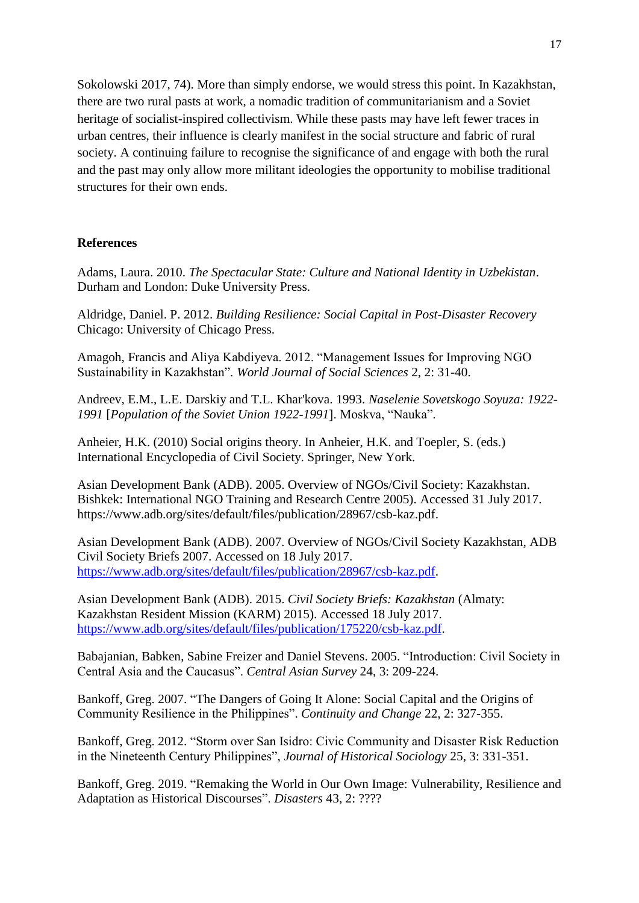Sokolowski 2017, 74). More than simply endorse, we would stress this point. In Kazakhstan, there are two rural pasts at work, a nomadic tradition of communitarianism and a Soviet heritage of socialist-inspired collectivism. While these pasts may have left fewer traces in urban centres, their influence is clearly manifest in the social structure and fabric of rural society. A continuing failure to recognise the significance of and engage with both the rural and the past may only allow more militant ideologies the opportunity to mobilise traditional structures for their own ends.

# **References**

Adams, Laura. 2010. *The Spectacular State: Culture and National Identity in Uzbekistan*. Durham and London: Duke University Press.

Aldridge, Daniel. P. 2012. *Building Resilience: Social Capital in Post-Disaster Recovery* Chicago: University of Chicago Press.

Amagoh, Francis and Aliya Kabdiyeva. 2012. "Management Issues for Improving NGO Sustainability in Kazakhstan". *World Journal of Social Sciences* 2, 2: 31-40.

Andreev, E.M., L.E. Darskiy and T.L. Khar'kova. 1993. *Naselenie Sovetskogo Soyuza: 1922- 1991* [*Population of the Soviet Union 1922-1991*]. Moskva, "Nauka".

Anheier, H.K. (2010) Social origins theory. In Anheier, H.K. and Toepler, S. (eds.) International Encyclopedia of Civil Society. Springer, New York.

Asian Development Bank (ADB). 2005. Overview of NGOs/Civil Society: Kazakhstan. Bishkek: International NGO Training and Research Centre 2005). Accessed 31 July 2017. https://www.adb.org/sites/default/files/publication/28967/csb-kaz.pdf.

Asian Development Bank (ADB). 2007. Overview of NGOs/Civil Society Kazakhstan, ADB Civil Society Briefs 2007. Accessed on 18 July 2017. [https://www.adb.org/sites/default/files/publication/28967/csb-kaz.pdf.](https://www.adb.org/sites/default/files/publication/28967/csb-kaz.pdf)

Asian Development Bank (ADB). 2015. *Civil Society Briefs: Kazakhstan* (Almaty: Kazakhstan Resident Mission (KARM) 2015). Accessed 18 July 2017. [https://www.adb.org/sites/default/files/publication/175220/csb-kaz.pdf.](https://www.adb.org/sites/default/files/publication/175220/csb-kaz.pdf)

Babajanian, Babken, Sabine Freizer and Daniel Stevens. 2005. "Introduction: Civil Society in Central Asia and the Caucasus". *Central Asian Survey* 24, 3: 209-224.

Bankoff, Greg. 2007. "The Dangers of Going It Alone: Social Capital and the Origins of Community Resilience in the Philippines". *Continuity and Change* 22, 2: 327-355.

Bankoff, Greg. 2012. "Storm over San Isidro: Civic Community and Disaster Risk Reduction in the Nineteenth Century Philippines", *Journal of Historical Sociology* 25, 3: 331-351.

Bankoff, Greg. 2019. "Remaking the World in Our Own Image: Vulnerability, Resilience and Adaptation as Historical Discourses". *Disasters* 43, 2: ????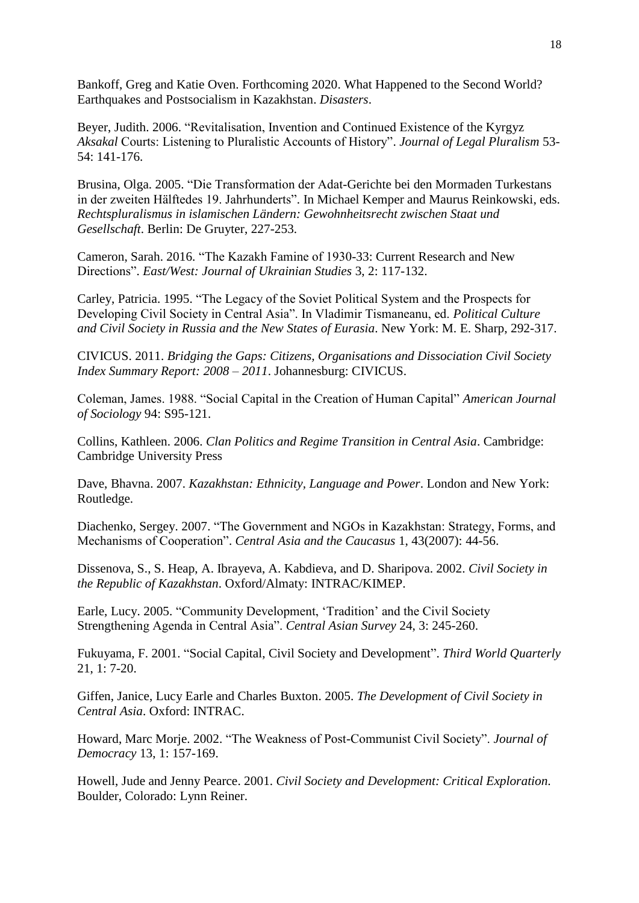Bankoff, Greg and Katie Oven. Forthcoming 2020. What Happened to the Second World? Earthquakes and Postsocialism in Kazakhstan. *Disasters*.

Beyer, Judith. 2006. "Revitalisation, Invention and Continued Existence of the Kyrgyz *Aksakal* Courts: Listening to Pluralistic Accounts of History". *Journal of Legal Pluralism* 53- 54: 141-176.

Brusina, Olga. 2005. "Die Transformation der Adat-Gerichte bei den Mormaden Turkestans in der zweiten Hälftedes 19. Jahrhunderts". In Michael Kemper and Maurus Reinkowski, eds. *Rechtspluralismus in islamischen Ländern: Gewohnheitsrecht zwischen Staat und Gesellschaft*. Berlin: De Gruyter, 227-253.

Cameron, Sarah. 2016. "The Kazakh Famine of 1930-33: Current Research and New Directions". *East/West: Journal of Ukrainian Studies* 3, 2: 117-132.

Carley, Patricia. 1995. "The Legacy of the Soviet Political System and the Prospects for Developing Civil Society in Central Asia". In Vladimir Tismaneanu, ed. *Political Culture and Civil Society in Russia and the New States of Eurasia*. New York: M. E. Sharp, 292-317.

CIVICUS. 2011. *Bridging the Gaps: Citizens, Organisations and Dissociation Civil Society Index Summary Report: 2008 – 2011*. Johannesburg: CIVICUS.

Coleman, James. 1988. "Social Capital in the Creation of Human Capital" *American Journal of Sociology* 94: S95-121.

Collins, Kathleen. 2006. *Clan Politics and Regime Transition in Central Asia*. Cambridge: Cambridge University Press

Dave, Bhavna. 2007. *Kazakhstan: Ethnicity, Language and Power*. London and New York: Routledge.

Diachenko, Sergey. 2007. "The Government and NGOs in Kazakhstan: Strategy, Forms, and Mechanisms of Cooperation". *Central Asia and the Caucasus* 1, 43(2007): 44-56.

Dissenova, S., S. Heap, A. Ibrayeva, A. Kabdieva, and D. Sharipova. 2002. *Civil Society in the Republic of Kazakhstan*. Oxford/Almaty: INTRAC/KIMEP.

Earle, Lucy. 2005. "Community Development, 'Tradition' and the Civil Society Strengthening Agenda in Central Asia". *Central Asian Survey* 24, 3: 245-260.

Fukuyama, F. 2001. "Social Capital, Civil Society and Development". *Third World Quarterly* 21, 1: 7-20.

Giffen, Janice, Lucy Earle and Charles Buxton. 2005. *The Development of Civil Society in Central Asia*. Oxford: INTRAC.

Howard, Marc Morje. 2002. "The Weakness of Post-Communist Civil Society". *Journal of Democracy* 13, 1: 157-169.

Howell, Jude and Jenny Pearce. 2001. *Civil Society and Development: Critical Exploration.* Boulder, Colorado: Lynn Reiner.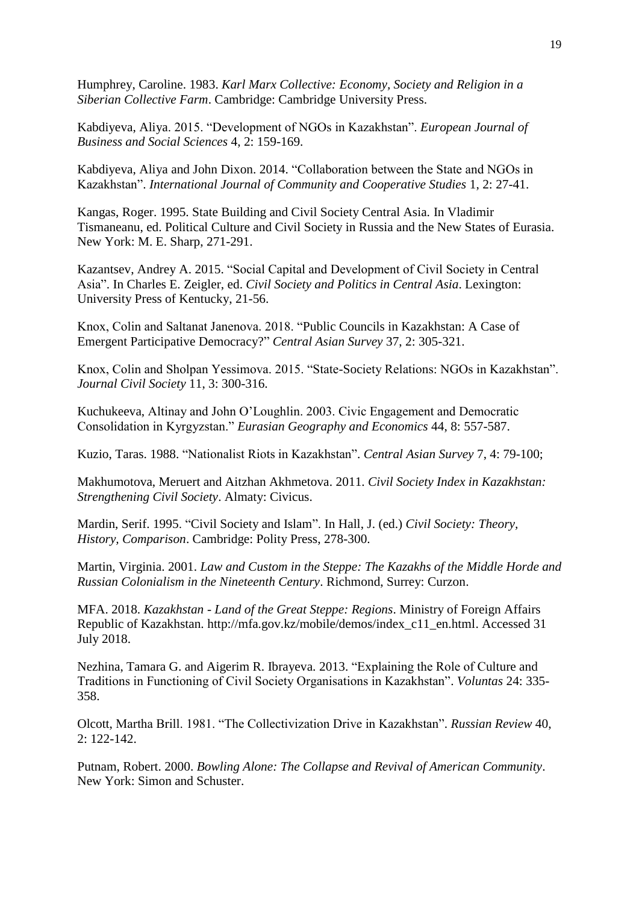Humphrey, Caroline. 1983. *Karl Marx Collective: Economy, Society and Religion in a Siberian Collective Farm*. Cambridge: Cambridge University Press.

Kabdiyeva, Aliya. 2015. "Development of NGOs in Kazakhstan". *European Journal of Business and Social Sciences* 4, 2: 159-169.

Kabdiyeva, Aliya and John Dixon. 2014. "Collaboration between the State and NGOs in Kazakhstan". *International Journal of Community and Cooperative Studies* 1, 2: 27-41.

Kangas, Roger. 1995. State Building and Civil Society Central Asia. In Vladimir Tismaneanu, ed. Political Culture and Civil Society in Russia and the New States of Eurasia. New York: M. E. Sharp, 271-291.

Kazantsev, Andrey A. 2015. "Social Capital and Development of Civil Society in Central Asia". In Charles E. Zeigler, ed. *Civil Society and Politics in Central Asia*. Lexington: University Press of Kentucky, 21-56.

Knox, Colin and Saltanat Janenova. 2018. "Public Councils in Kazakhstan: A Case of Emergent Participative Democracy?" *Central Asian Survey* 37, 2: 305-321.

Knox, Colin and Sholpan Yessimova. 2015. "State-Society Relations: NGOs in Kazakhstan". *Journal Civil Society* 11, 3: 300-316.

Kuchukeeva, Altinay and John O'Loughlin. 2003. Civic Engagement and Democratic Consolidation in Kyrgyzstan." *Eurasian Geography and Economics* 44, 8: 557-587.

Kuzio, Taras. 1988. "Nationalist Riots in Kazakhstan". *Central Asian Survey* 7, 4: 79-100;

Makhumotova, Meruert and Aitzhan Akhmetova. 2011. *Civil Society Index in Kazakhstan: Strengthening Civil Society*. Almaty: Civicus.

Mardin, Serif. 1995. "Civil Society and Islam". In Hall, J. (ed.) *Civil Society: Theory, History, Comparison*. Cambridge: Polity Press, 278-300.

Martin, Virginia. 2001. *Law and Custom in the Steppe: The Kazakhs of the Middle Horde and Russian Colonialism in the Nineteenth Century*. Richmond, Surrey: Curzon.

MFA. 2018. *Kazakhstan - Land of the Great Steppe: Regions*. Ministry of Foreign Affairs Republic of Kazakhstan. http://mfa.gov.kz/mobile/demos/index\_c11\_en.html. Accessed 31 July 2018.

Nezhina, Tamara G. and Aigerim R. Ibrayeva. 2013. "Explaining the Role of Culture and Traditions in Functioning of Civil Society Organisations in Kazakhstan". *Voluntas* 24: 335- 358.

Olcott, Martha Brill. 1981. "The Collectivization Drive in Kazakhstan". *Russian Review* 40,  $2: 122 - 142$ .

Putnam, Robert. 2000. *Bowling Alone: The Collapse and Revival of American Community*. New York: Simon and Schuster.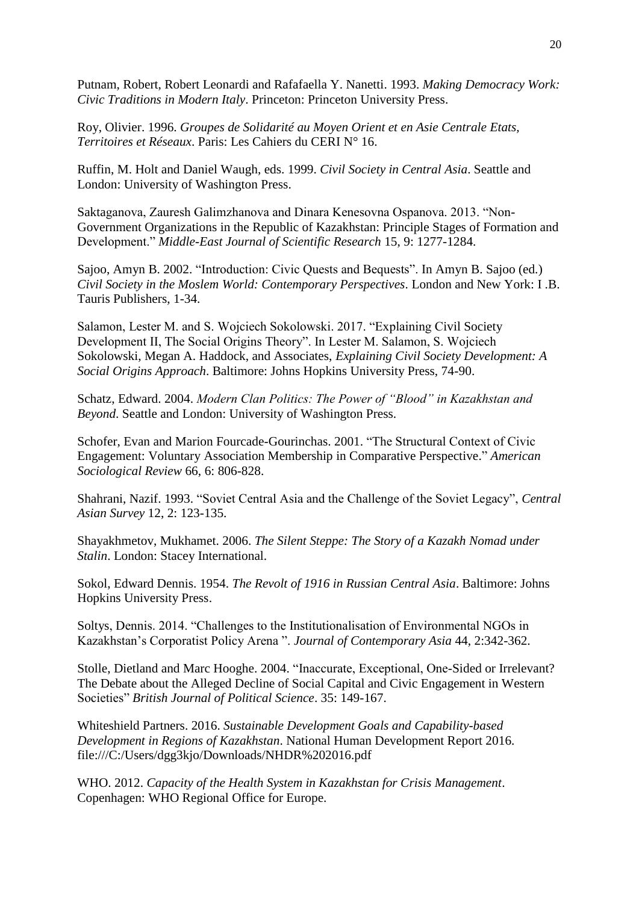Putnam, Robert, Robert Leonardi and Rafafaella Y. Nanetti. 1993. *Making Democracy Work: Civic Traditions in Modern Italy*. Princeton: Princeton University Press.

Roy, Olivier. 1996. *Groupes de Solidarité au Moyen Orient et en Asie Centrale Etats, Territoires et Réseaux*. Paris: Les Cahiers du CERI N° 16.

Ruffin, M. Holt and Daniel Waugh, eds. 1999. *Civil Society in Central Asia*. Seattle and London: University of Washington Press.

Saktaganova, Zauresh Galimzhanova and Dinara Kenesovna Ospanova. 2013. "Non-Government Organizations in the Republic of Kazakhstan: Principle Stages of Formation and Development." *Middle-East Journal of Scientific Research* 15, 9: 1277-1284.

Sajoo, Amyn B. 2002. "Introduction: Civic Quests and Bequests". In Amyn B. Sajoo (ed.) *Civil Society in the Moslem World: Contemporary Perspectives*. London and New York: I .B. Tauris Publishers, 1-34.

Salamon, Lester M. and S. Wojciech Sokolowski. 2017. "Explaining Civil Society Development II, The Social Origins Theory". In Lester M. Salamon, S. Wojciech Sokolowski, Megan A. Haddock, and Associates, *Explaining Civil Society Development: A Social Origins Approach*. Baltimore: Johns Hopkins University Press, 74-90.

Schatz, Edward. 2004. *Modern Clan Politics: The Power of "Blood" in Kazakhstan and Beyond*. Seattle and London: University of Washington Press.

Schofer, Evan and Marion Fourcade-Gourinchas. 2001. "The Structural Context of Civic Engagement: Voluntary Association Membership in Comparative Perspective." *American Sociological Review* 66, 6: 806-828.

Shahrani, Nazif. 1993. "Soviet Central Asia and the Challenge of the Soviet Legacy", *Central Asian Survey* 12, 2: 123-135.

Shayakhmetov, Mukhamet. 2006. *The Silent Steppe: The Story of a Kazakh Nomad under Stalin*. London: Stacey International.

Sokol, Edward Dennis. 1954. *The Revolt of 1916 in Russian Central Asia*. Baltimore: Johns Hopkins University Press.

Soltys, Dennis. 2014. "Challenges to the Institutionalisation of Environmental NGOs in Kazakhstan's Corporatist Policy Arena ". *Journal of Contemporary Asia* 44, 2:342-362.

Stolle, Dietland and Marc Hooghe. 2004. "Inaccurate, Exceptional, One-Sided or Irrelevant? The Debate about the Alleged Decline of Social Capital and Civic Engagement in Western Societies" *British Journal of Political Science*. 35: 149-167.

Whiteshield Partners. 2016. *Sustainable Development Goals and Capability-based Development in Regions of Kazakhstan*. National Human Development Report 2016. file:///C:/Users/dgg3kjo/Downloads/NHDR%202016.pdf

WHO. 2012. *Capacity of the Health System in Kazakhstan for Crisis Management*. Copenhagen: WHO Regional Office for Europe.